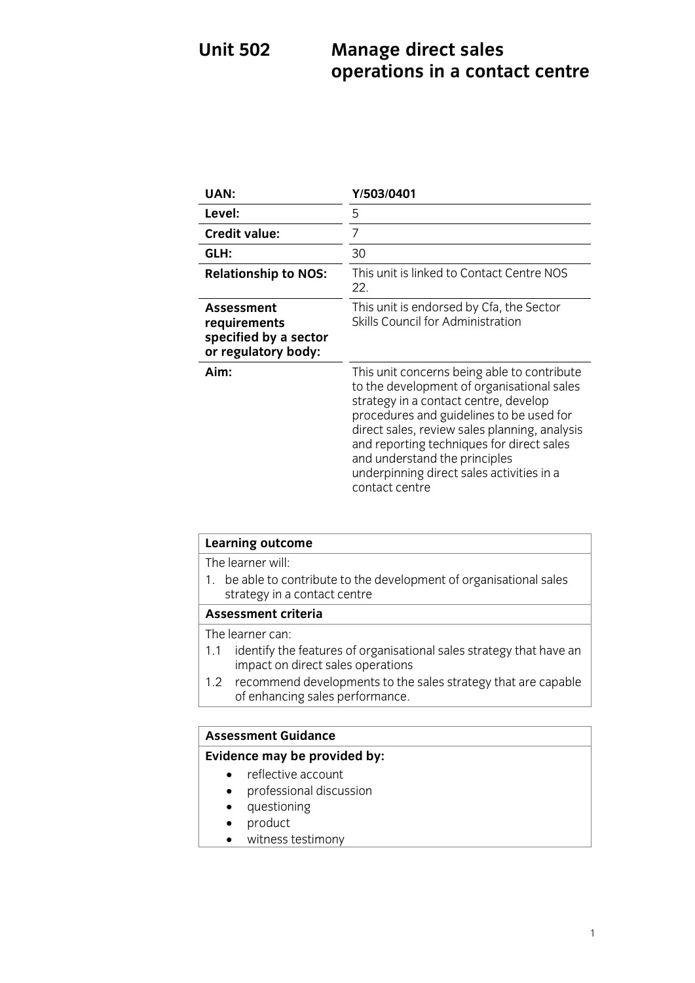## **Unit 502 Manage direct** sales **on the sales sales sales in a contra operations in a contact centre**

| UAN:                                                                              | Y/503/0401                                                                                                                                                                                                                                                                                                                                                                   |
|-----------------------------------------------------------------------------------|------------------------------------------------------------------------------------------------------------------------------------------------------------------------------------------------------------------------------------------------------------------------------------------------------------------------------------------------------------------------------|
| Level:                                                                            | 5                                                                                                                                                                                                                                                                                                                                                                            |
| <b>Credit value:</b>                                                              | 7                                                                                                                                                                                                                                                                                                                                                                            |
| GLH:                                                                              | 30                                                                                                                                                                                                                                                                                                                                                                           |
| <b>Relationship to NOS:</b>                                                       | This unit is linked to Contact Centre NOS<br>22.                                                                                                                                                                                                                                                                                                                             |
| <b>Assessment</b><br>requirements<br>specified by a sector<br>or regulatory body: | This unit is endorsed by Cfa, the Sector<br>Skills Council for Administration                                                                                                                                                                                                                                                                                                |
| Aim:                                                                              | This unit concerns being able to contribute<br>to the development of organisational sales<br>strategy in a contact centre, develop<br>procedures and guidelines to be used for<br>direct sales, review sales planning, analysis<br>and reporting techniques for direct sales<br>and understand the principles<br>underpinning direct sales activities in a<br>contact centre |

| <b>Learning outcome</b>                                                                                         |  |
|-----------------------------------------------------------------------------------------------------------------|--|
| The learner will:                                                                                               |  |
| be able to contribute to the development of organisational sales<br>strategy in a contact centre                |  |
| <b>Assessment criteria</b>                                                                                      |  |
| The learner can:                                                                                                |  |
| identify the features of organisational sales strategy that have an<br>1.1<br>impact on direct sales operations |  |
| 1.2 recommend developments to the sales strategy that are capable<br>of enhancing sales performance.            |  |
|                                                                                                                 |  |
| <b>Assessment Guidance</b>                                                                                      |  |
|                                                                                                                 |  |

## **Evidence may be provided by:**

- reflective account
	- professional discussion
	- questioning
	- product
	- witness testimony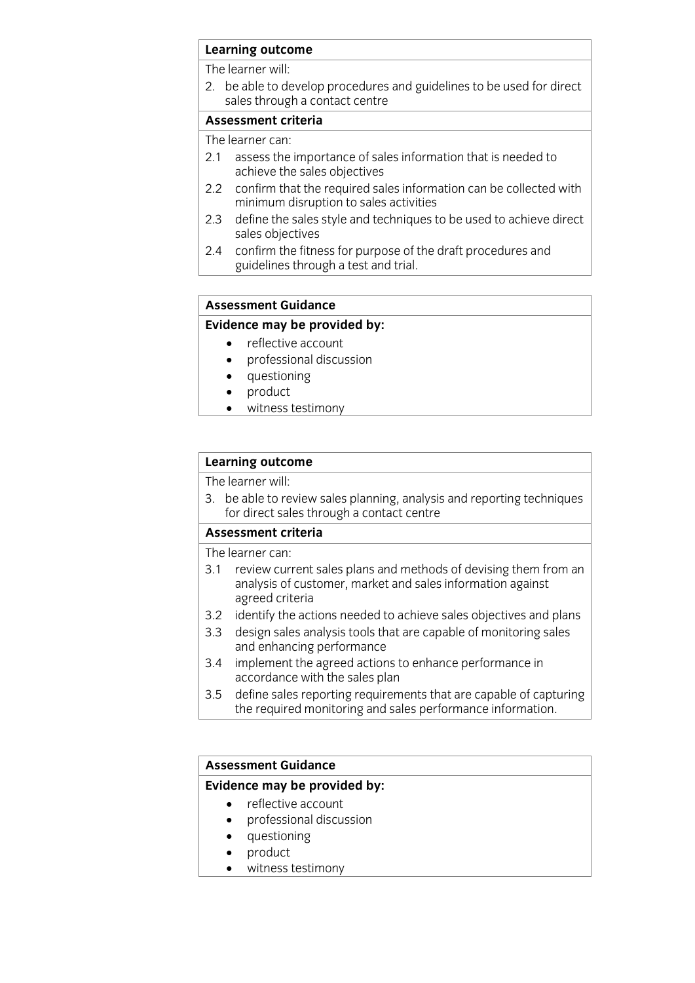# **Learning outcome**<br>The learner will:

2. be able to develop procedures and guidelines to be used for direct sales through a contact centre

### Assessment criteria

The learner can:

- 2.1 assess the importance of sales information that is needed to achieve the sales objectives
- $2.2$ confirm that the required sales information can be collected with minimum disruption to sales activities
- define the sales style and techniques to be used to achieve direct  $2.3$ sales objectives
- confirm the fitness for purpose of the draft procedures and  $2.4$ guidelines through a test and trial. guide the test and trial.

## **Assessment Guidance**

### **Evidence may be provided by:**

- reflective account<br>• professional discussion
	- professional discussion<br>• questioning
	- questioning<br>• product
	- product<br>• witness
	- witness testimony

# **Learning outcome**<br>The learner will:

3. be able to review sales planning, analysis and reporting techniques for direct sales through a contact centre

#### Assessment criteria

The learner can:

- 3.1 review current sales plans and methods of devising them from an analysis of customer, market and sales information against agreed criteria
- 3.2 identify the actions needed to achieve sales objectives and plans
- 3.3 design sales analysis tools that are capable of monitoring sales and enhancing performance
- implement the agreed actions to enhance performance in 3.4 implement the agreed actions to accordance with the sales plan
- define sales reporting requirements that are capable of capturing  $3.5$ the required monitoring and sales performance information. the required monotonic information information information. The sales performance information  $\mathbf{r}$

#### **Assessment Guidance**

#### **Evidence may be provided by:**

- reflective account
	- professional discussion<br>• questioning
	- questioning<br>• product
	- product
	- witness testimony